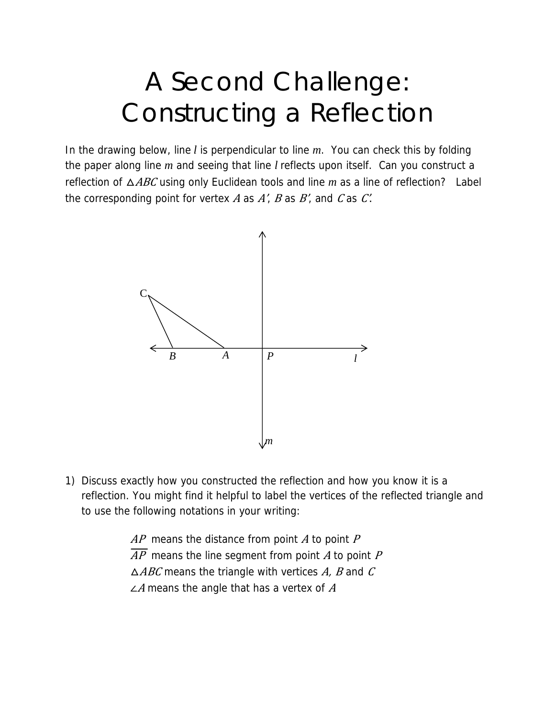## A Second Challenge: Constructing a Reflection

In the drawing below, line *l* is perpendicular to line *m*. You can check this by folding the paper along line *m* and seeing that line *l* reflects upon itself. Can you construct a reflection of  $\triangle ABC$  using only Euclidean tools and line *m* as a line of reflection? Label the corresponding point for vertex A as  $A'$ , B as  $B'$ , and C as C'.



1) Discuss exactly how you constructed the reflection and how you know it is a reflection. You might find it helpful to label the vertices of the reflected triangle and to use the following notations in your writing:

> $AP$  means the distance from point A to point P  $\overline{AP}$  means the line segment from point A to point P  $\triangle ABC$  means the triangle with vertices A, B and C  $\angle A$  means the angle that has a vertex of A